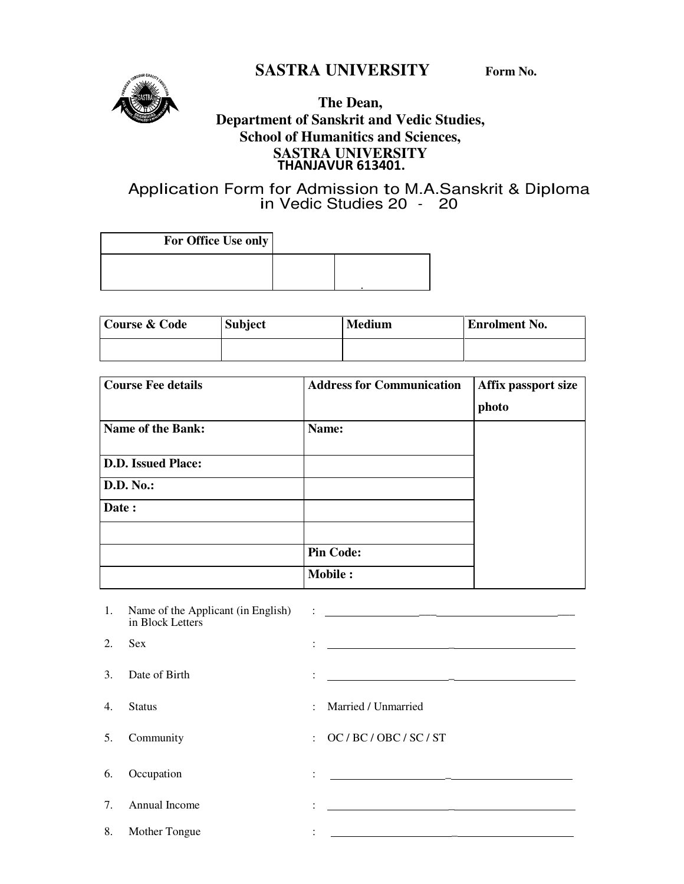# **SASTRA UNIVERSITY Form No.**



### **The Dean, Department of Sanskrit and Vedic Studies, School of Humanitics and Sciences, SASTRA UNIVERSITY**  THANJAVUR 613401.

# Application Form for Admission to M.A.Sanskrit & Diploma in Vedic Studies 20 - 20

| For Office Use only |  |
|---------------------|--|
|                     |  |
|                     |  |

| Course & Code | <b>Subject</b> | <b>Medium</b> | <b>Enrolment No.</b> |
|---------------|----------------|---------------|----------------------|
|               |                |               |                      |

| <b>Course Fee details</b> | <b>Address for Communication</b> | Affix passport size |
|---------------------------|----------------------------------|---------------------|
|                           |                                  | photo               |
| <b>Name of the Bank:</b>  | Name:                            |                     |
| <b>D.D. Issued Place:</b> |                                  |                     |
| <b>D.D. No.:</b>          |                                  |                     |
| Date:                     |                                  |                     |
|                           |                                  |                     |
|                           | <b>Pin Code:</b>                 |                     |
|                           | <b>Mobile:</b>                   |                     |

| 1.                                    | in Block Letters |                |                                                                                                                                                                                      |
|---------------------------------------|------------------|----------------|--------------------------------------------------------------------------------------------------------------------------------------------------------------------------------------|
| 2.                                    | <b>Sex</b>       | $\ddot{\cdot}$ | 1000 - San Antonio Alemania (1991) - Antonio Alemania (1991)<br>2001 - Antonio Alemania (1992) - Antonio Alemania (1992)<br>2011 - Antonio Alemania (1992) - Antonio Alemania (1992) |
| 3 <sub>1</sub>                        | Date of Birth    | $\ddot{\cdot}$ | 1000 - San Antonio Alemania (1991) - Antonio Alemania (1991)<br>1991 - Antonio Alemania (1992) - Antonio Alemania (1992)<br>1992 - Antonio Alemania (1992) - Antonio Alemania (1992) |
| $\mathbf{4}$ .                        | <b>Status</b>    |                | : Married / Unmarried                                                                                                                                                                |
| 5.                                    | Community        |                | $\colon$ OC / BC / OBC / SC / ST                                                                                                                                                     |
| 6.                                    | Occupation       | ٠              | <u>이 대한 대학 대학 대학 대학 대학 대학 대학</u>                                                                                                                                                     |
| $7_{\scriptscriptstyle{\ddot{\sim}}}$ | Annual Income    | ٠              |                                                                                                                                                                                      |
| 8.                                    | Mother Tongue    |                |                                                                                                                                                                                      |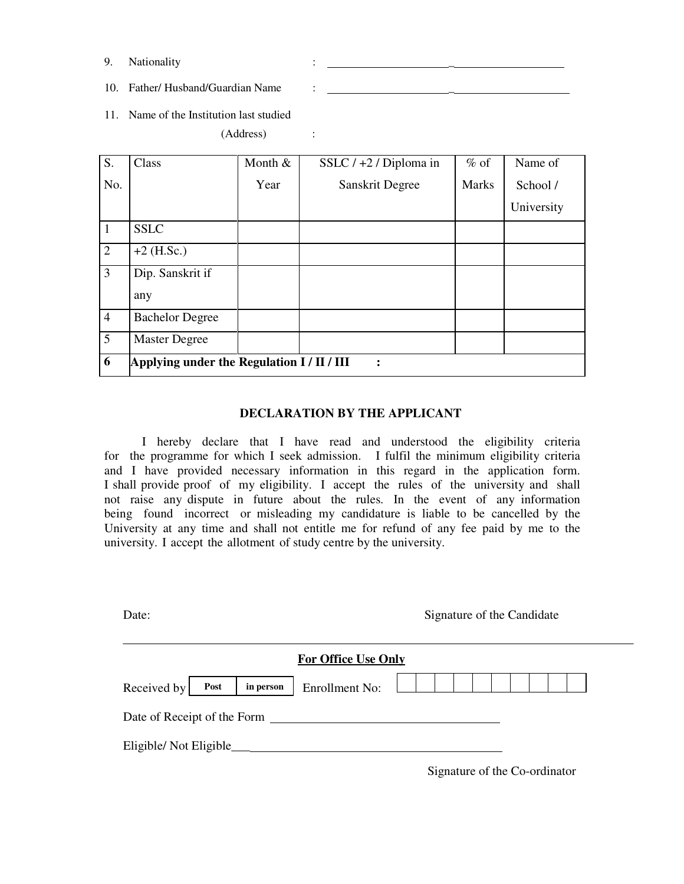9. Nationality :  $\qquad \qquad$ 

10. Father/ Husband/Guardian Name : \_\_\_\_\_\_\_\_

11. Name of the Institution last studied

(Address) :

| S.             | Class                                                        | Month & | SSLC $/ +2 /$ Diploma in | $%$ of       | Name of    |  |
|----------------|--------------------------------------------------------------|---------|--------------------------|--------------|------------|--|
| No.            |                                                              | Year    | Sanskrit Degree          | <b>Marks</b> | School /   |  |
|                |                                                              |         |                          |              | University |  |
| -1             | <b>SSLC</b>                                                  |         |                          |              |            |  |
| 2              | $+2$ (H.Sc.)                                                 |         |                          |              |            |  |
| $\mathfrak{Z}$ | Dip. Sanskrit if                                             |         |                          |              |            |  |
|                | any                                                          |         |                          |              |            |  |
| $\overline{4}$ | <b>Bachelor Degree</b>                                       |         |                          |              |            |  |
| $\overline{5}$ | <b>Master Degree</b>                                         |         |                          |              |            |  |
| 6              | Applying under the Regulation I / II / III<br>$\ddot{\cdot}$ |         |                          |              |            |  |

#### **DECLARATION BY THE APPLICANT**

I hereby declare that I have read and understood the eligibility criteria for the programme for which I seek admission. I fulfil the minimum eligibility criteria and I have provided necessary information in this regard in the application form. I shall provide proof of my eligibility. I accept the rules of the university and shall not raise any dispute in future about the rules. In the event of any information being found incorrect or misleading my candidature is liable to be cancelled by the University at any time and shall not entitle me for refund of any fee paid by me to the university. I accept the allotment of study centre by the university.

| Date:                            |                            | Signature of the Candidate    |
|----------------------------------|----------------------------|-------------------------------|
|                                  | <b>For Office Use Only</b> |                               |
| Received by<br>Post<br>in person | <b>Enrollment No:</b>      |                               |
| Date of Receipt of the Form      |                            |                               |
|                                  |                            |                               |
|                                  |                            | Signature of the Co-ordinator |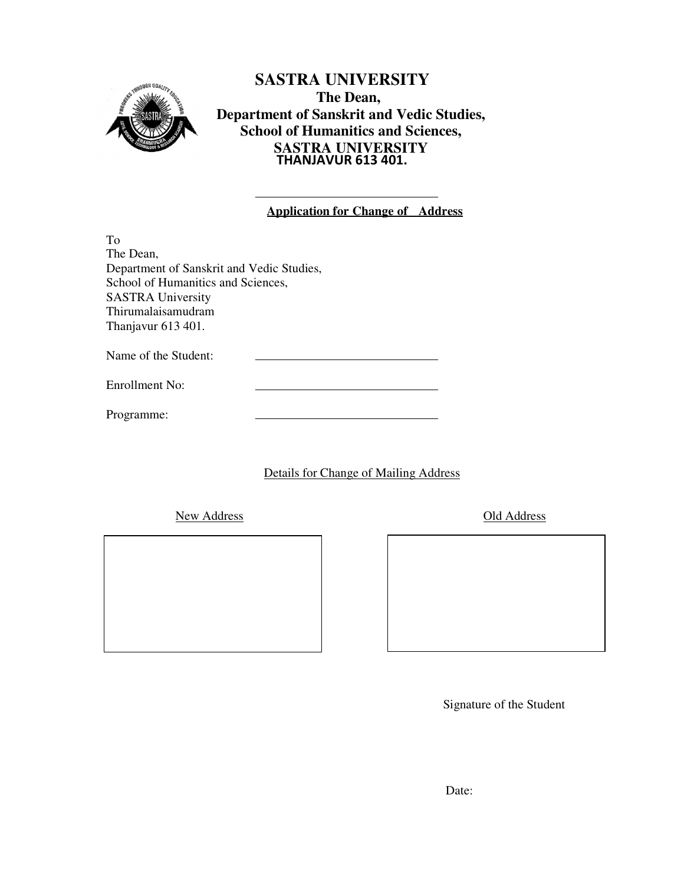

**SASTRA UNIVERSITY The Dean, Department of Sanskrit and Vedic Studies, School of Humanitics and Sciences, SASTRA UNIVERSITY**  THANJAVUR 613 401.

|  |  |  | <b>Application for Change of Address</b> |
|--|--|--|------------------------------------------|
|  |  |  |                                          |

To The Dean, Department of Sanskrit and Vedic Studies, School of Humanitics and Sciences, SASTRA University Thirumalaisamudram Thanjavur 613 401.

Name of the Student:

Enrollment No:

Programme:

Details for Change of Mailing Address

New Address Old Address

Signature of the Student

Date: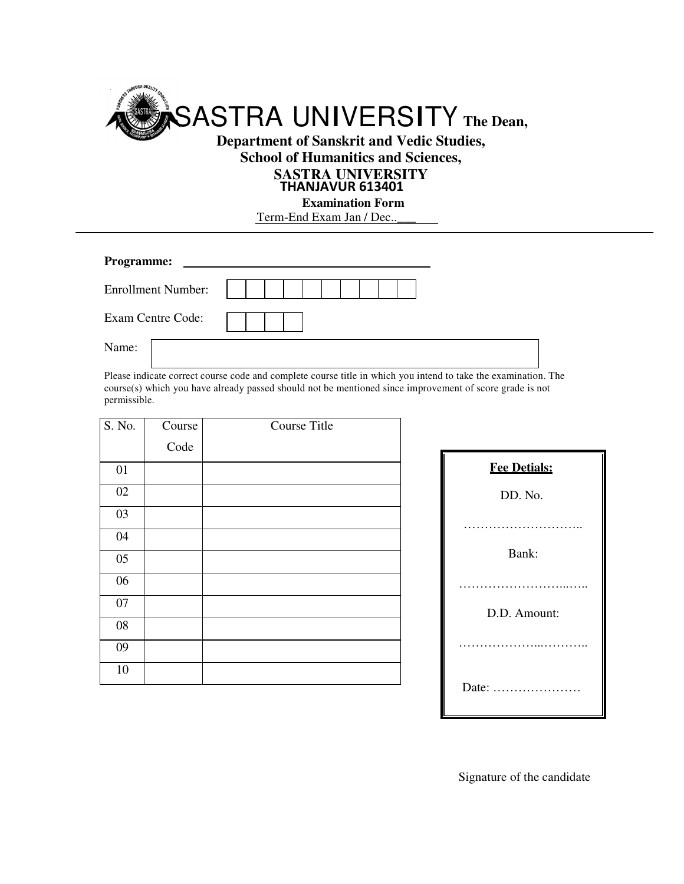

**School of Humanitics and Sciences,** 

### **SASTRA UNIVERSITY**

#### THANJAVUR 613401

**Examination Form** Term-End Exam Jan / Dec..

| <b>Programme:</b>         |  |
|---------------------------|--|
| <b>Enrollment Number:</b> |  |
| Exam Centre Code:         |  |
| Name:                     |  |

Please indicate correct course code and complete course title in which you intend to take the examination. The course(s) which you have already passed should not be mentioned since improvement of score grade is not permissible.

| S. No.          | Course | <b>Course Title</b> |
|-----------------|--------|---------------------|
|                 | Code   |                     |
| 01              |        |                     |
| $02\,$          |        |                     |
| 03              |        |                     |
| 04              |        |                     |
| $05\,$          |        |                     |
| $\overline{06}$ |        |                     |
| 07              |        |                     |
| ${\bf 08}$      |        |                     |
| 09              |        |                     |
| 10              |        |                     |

| <b>Fee Detials:</b>                         |
|---------------------------------------------|
| DD. No.                                     |
|                                             |
| Bank:                                       |
|                                             |
| D.D. Amount:                                |
|                                             |
|                                             |
| Date: $\dots\dots\dots\dots\dots\dots\dots$ |

Signature of the candidate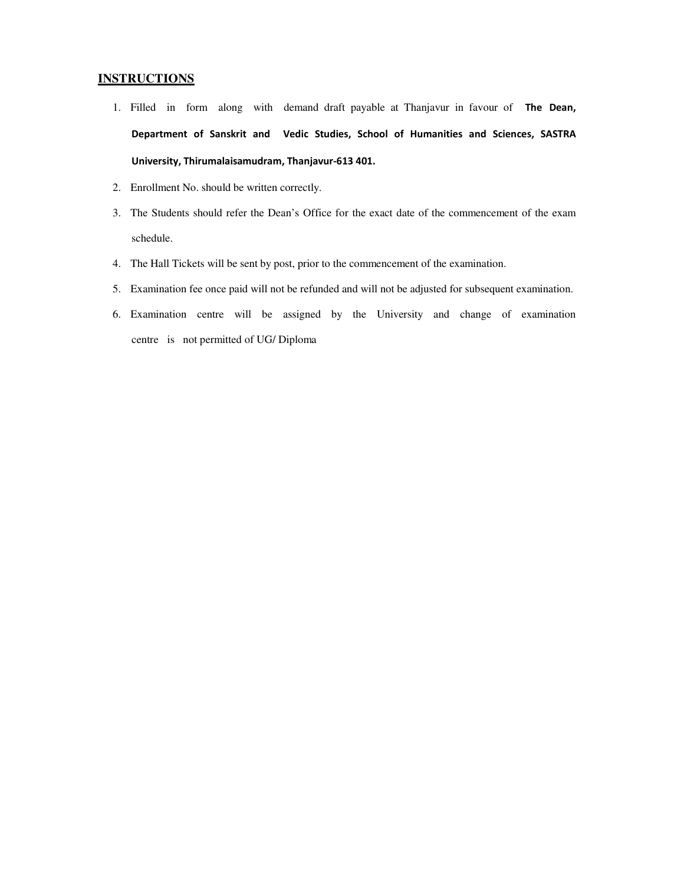#### **INSTRUCTIONS**

- 1. Filled in form along with demand draft payable at Thanjavur in favour of The Dean, Department of Sanskrit and Vedic Studies, School of Humanities and Sciences, SASTRA University, Thirumalaisamudram, Thanjavur-613 401.
- 2. Enrollment No. should be written correctly.
- 3. The Students should refer the Dean's Office for the exact date of the commencement of the exam schedule.
- 4. The Hall Tickets will be sent by post, prior to the commencement of the examination.
- 5. Examination fee once paid will not be refunded and will not be adjusted for subsequent examination.
- 6. Examination centre will be assigned by the University and change of examination centre is not permitted of UG/ Diploma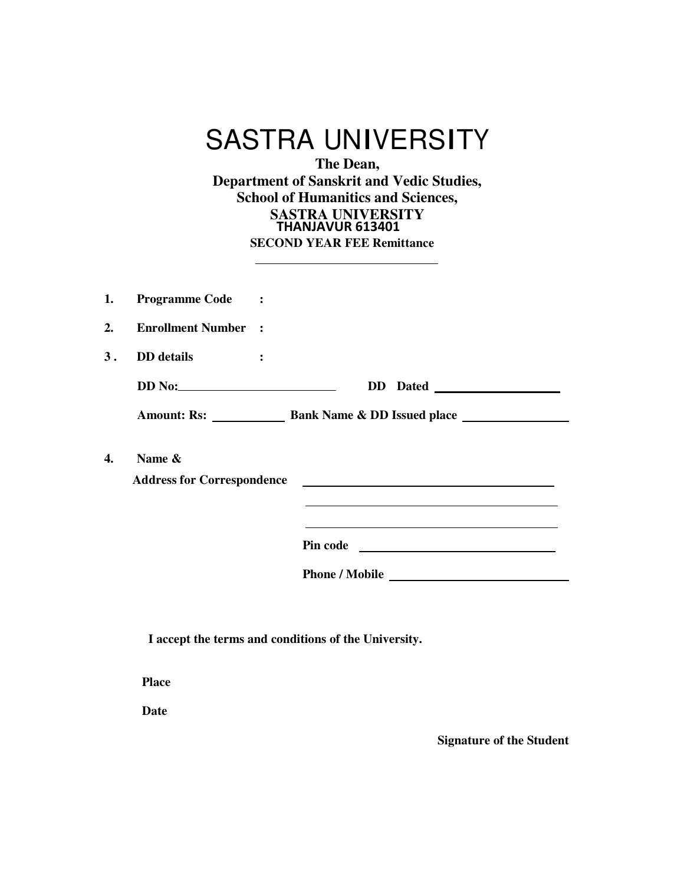|    | <b>SASTRA UNIVERSITY</b><br>The Dean,<br><b>Department of Sanskrit and Vedic Studies,</b><br><b>School of Humanitics and Sciences,</b><br><b>SASTRA UNIVERSITY</b><br>THANJAVUR 613401<br><b>SECOND YEAR FEE Remittance</b> |  |  |  |  |
|----|-----------------------------------------------------------------------------------------------------------------------------------------------------------------------------------------------------------------------------|--|--|--|--|
| 1. | <b>Programme Code</b>                                                                                                                                                                                                       |  |  |  |  |
| 2. | <b>Enrollment Number :</b>                                                                                                                                                                                                  |  |  |  |  |
| 3. | <b>DD</b> details<br>$\ddot{\cdot}$                                                                                                                                                                                         |  |  |  |  |
|    | DD Dated                                                                                                                                                                                                                    |  |  |  |  |
|    |                                                                                                                                                                                                                             |  |  |  |  |
| 4. | Name &<br><b>Address for Correspondence</b><br>the control of the control of the control of the control of the control of the control of the control of the control of<br>Pin code                                          |  |  |  |  |
|    |                                                                                                                                                                                                                             |  |  |  |  |

**I accept the terms and conditions of the University.**

**Place**

**Date**

**Signature of the Student**